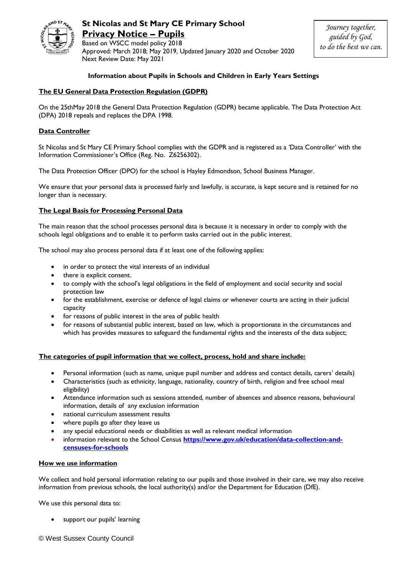

**St Nicolas and St Mary CE Primary School Privacy Notice – Pupils** 

Based on WSCC model policy 2018 Approved: March 2018; May 2019, Updated January 2020 and October 2020 Next Review Date: May 2021

### **Information about Pupils in Schools and Children in Early Years Settings**

### **The EU General Data Protection Regulation (GDPR)**

On the 25thMay 2018 the General Data Protection Regulation (GDPR) became applicable. The Data Protection Act (DPA) 2018 repeals and replaces the DPA 1998.

## **Data Controller**

St Nicolas and St Mary CE Primary School complies with the GDPR and is registered as a 'Data Controller' with the Information Commissioner's Office (Reg. No. Z6256302).

The Data Protection Officer (DPO) for the school is Hayley Edmondson, School Business Manager.

We ensure that your personal data is processed fairly and lawfully, is accurate, is kept secure and is retained for no longer than is necessary.

### **The Legal Basis for Processing Personal Data**

The main reason that the school processes personal data is because it is necessary in order to comply with the schools legal obligations and to enable it to perform tasks carried out in the public interest,

The school may also process personal data if at least one of the following applies:

- in order to protect the vital interests of an individual
- there is explicit consent.
- to comply with the school's legal obligations in the field of employment and social security and social protection law
- for the establishment, exercise or defence of legal claims or whenever courts are acting in their judicial capacity
- for reasons of public interest in the area of public health
- for reasons of substantial public interest, based on law, which is proportionate in the circumstances and which has provides measures to safeguard the fundamental rights and the interests of the data subject;

### **The categories of pupil information that we collect, process, hold and share include:**

- Personal information (such as name, unique pupil number and address and contact details, carers' details)
- Characteristics (such as ethnicity, language, nationality, country of birth, religion and free school meal eligibility)
- Attendance information such as sessions attended, number of absences and absence reasons, behavioural information, details of any exclusion information
- national curriculum assessment results
- where pupils go after they leave us
- any special educational needs or disabilities as well as relevant medical information
- information relevant to the School Census **[https://www.gov.uk/education/data-collection-and](https://www.gov.uk/education/data-collection-and-censuses-for-schools)[censuses-for-schools](https://www.gov.uk/education/data-collection-and-censuses-for-schools)**

### **How we use information**

We collect and hold personal information relating to our pupils and those involved in their care, we may also receive information from previous schools, the local authority(s) and/or the Department for Education (DfE).

We use this personal data to:

support our pupils' learning

© West Sussex County Council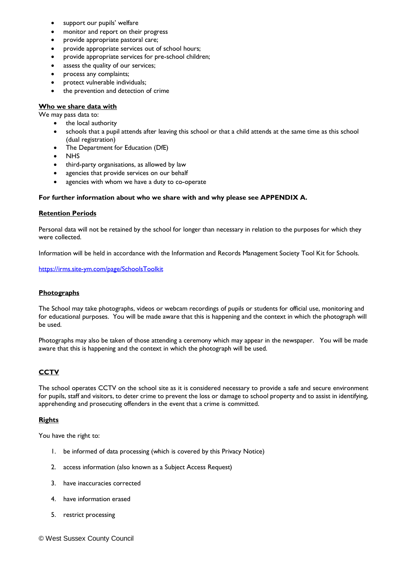- support our pupils' welfare
- monitor and report on their progress
- provide appropriate pastoral care;
- provide appropriate services out of school hours;
- provide appropriate services for pre-school children;
- assess the quality of our services;
- process any complaints;
- protect vulnerable individuals;
- the prevention and detection of crime

### **Who we share data with**

We may pass data to:

- the local authority
- schools that a pupil attends after leaving this school or that a child attends at the same time as this school (dual registration)
- The Department for Education (DfE)
- **NHS**
- third-party organisations, as allowed by law
- agencies that provide services on our behalf
- agencies with whom we have a duty to co-operate

### **For further information about who we share with and why please see APPENDIX A.**

### **Retention Periods**

Personal data will not be retained by the school for longer than necessary in relation to the purposes for which they were collected.

Information will be held in accordance with the Information and Records Management Society Tool Kit for Schools.

### <https://irms.site-ym.com/page/SchoolsToolkit>

## **Photographs**

The School may take photographs, videos or webcam recordings of pupils or students for official use, monitoring and for educational purposes. You will be made aware that this is happening and the context in which the photograph will be used.

Photographs may also be taken of those attending a ceremony which may appear in the newspaper. You will be made aware that this is happening and the context in which the photograph will be used.

# **CCTV**

The school operates CCTV on the school site as it is considered necessary to provide a safe and secure environment for pupils, staff and visitors, to deter crime to prevent the loss or damage to school property and to assist in identifying, apprehending and prosecuting offenders in the event that a crime is committed.

## **Rights**

You have the right to:

- 1. be informed of data processing (which is covered by this Privacy Notice)
- 2. access information (also known as a Subject Access Request)
- 3. have inaccuracies corrected
- 4. have information erased
- 5. restrict processing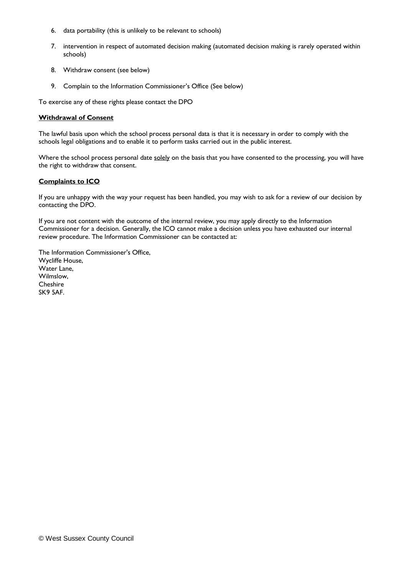- 6. data portability (this is unlikely to be relevant to schools)
- 7. intervention in respect of automated decision making (automated decision making is rarely operated within schools)
- 8. Withdraw consent (see below)
- 9. Complain to the Information Commissioner's Office (See below)

To exercise any of these rights please contact the DPO

### **Withdrawal of Consent**

The lawful basis upon which the school process personal data is that it is necessary in order to comply with the schools legal obligations and to enable it to perform tasks carried out in the public interest.

Where the school process personal date solely on the basis that you have consented to the processing, you will have the right to withdraw that consent.

## **Complaints to ICO**

If you are unhappy with the way your request has been handled, you may wish to ask for a review of our decision by contacting the DPO.

If you are not content with the outcome of the internal review, you may apply directly to the Information Commissioner for a decision. Generally, the ICO cannot make a decision unless you have exhausted our internal review procedure. The Information Commissioner can be contacted at:

The Information Commissioner's Office, Wycliffe House, Water Lane, Wilmslow, **Cheshire** SK9 5AF.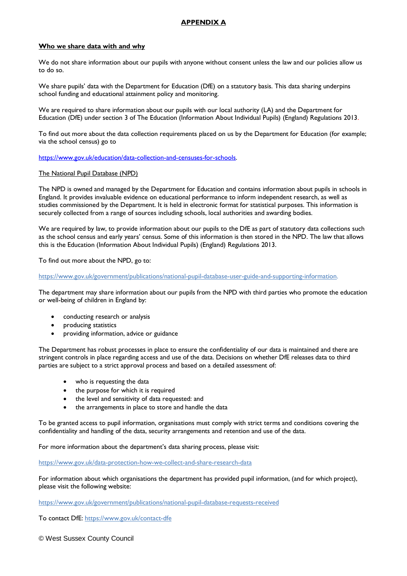# **APPENDIX A**

### **Who we share data with and why**

We do not share information about our pupils with anyone without consent unless the law and our policies allow us to do so.

We share pupils' data with the Department for Education (DfE) on a statutory basis. This data sharing underpins school funding and educational attainment policy and monitoring.

We are required to share information about our pupils with our local authority (LA) and the Department for Education (DfE) under section 3 of The Education (Information About Individual Pupils) (England) Regulations 2013.

To find out more about the data collection requirements placed on us by the Department for Education (for example; via the school census) go to

[https://www.gov.uk/education/data-collection-and-censuses-for-schools.](https://www.gov.uk/education/data-collection-and-censuses-for-schools)

### The National Pupil Database (NPD)

The NPD is owned and managed by the Department for Education and contains information about pupils in schools in England. It provides invaluable evidence on educational performance to inform independent research, as well as studies commissioned by the Department. It is held in electronic format for statistical purposes. This information is securely collected from a range of sources including schools, local authorities and awarding bodies.

We are required by law, to provide information about our pupils to the DfE as part of statutory data collections such as the school census and early years' census. Some of this information is then stored in the NPD. The law that allows this is the Education (Information About Individual Pupils) (England) Regulations 2013.

To find out more about the NPD, go to:

[https://www.gov.uk/government/publications/national-pupil-database-user-guide-and-supporting-information.](https://www.gov.uk/government/publications/national-pupil-database-user-guide-and-supporting-information)

The department may share information about our pupils from the NPD with third parties who promote the education or well-being of children in England by:

- conducting research or analysis
- producing statistics
- providing information, advice or guidance

The Department has robust processes in place to ensure the confidentiality of our data is maintained and there are stringent controls in place regarding access and use of the data. Decisions on whether DfE releases data to third parties are subject to a strict approval process and based on a detailed assessment of:

- who is requesting the data
- the purpose for which it is required
- the level and sensitivity of data requested: and
- the arrangements in place to store and handle the data

To be granted access to pupil information, organisations must comply with strict terms and conditions covering the confidentiality and handling of the data, security arrangements and retention and use of the data.

For more information about the department's data sharing process, please visit:

<https://www.gov.uk/data-protection-how-we-collect-and-share-research-data>

For information about which organisations the department has provided pupil information, (and for which project), please visit the following website:

<https://www.gov.uk/government/publications/national-pupil-database-requests-received>

To contact DfE:<https://www.gov.uk/contact-dfe>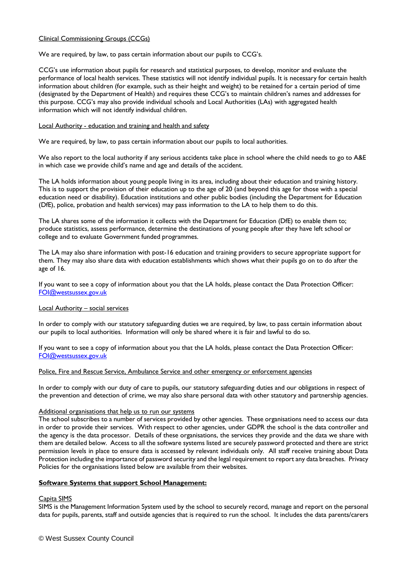## Clinical Commissioning Groups (CCGs)

We are required, by law, to pass certain information about our pupils to CCG's.

CCG's use information about pupils for research and statistical purposes, to develop, monitor and evaluate the performance of local health services. These statistics will not identify individual pupils. It is necessary for certain health information about children (for example, such as their height and weight) to be retained for a certain period of time (designated by the Department of Health) and requires these CCG's to maintain children's names and addresses for this purpose. CCG's may also provide individual schools and Local Authorities (LAs) with aggregated health information which will not identify individual children.

#### Local Authority - education and training and health and safety

We are required, by law, to pass certain information about our pupils to local authorities.

We also report to the local authority if any serious accidents take place in school where the child needs to go to A&E in which case we provide child's name and age and details of the accident.

The LA holds information about young people living in its area, including about their education and training history. This is to support the provision of their education up to the age of 20 (and beyond this age for those with a special education need or disability). Education institutions and other public bodies (including the Department for Education (DfE), police, probation and health services) may pass information to the LA to help them to do this.

The LA shares some of the information it collects with the Department for Education (DfE) to enable them to; produce statistics, assess performance, determine the destinations of young people after they have left school or college and to evaluate Government funded programmes.

The LA may also share information with post-16 education and training providers to secure appropriate support for them. They may also share data with education establishments which shows what their pupils go on to do after the age of 16.

If you want to see a copy of information about you that the LA holds, please contact the Data Protection Officer: [FOI@westsussex.gov.uk](mailto:FOI@westsussex.gov.uk)

### Local Authority – social services

In order to comply with our statutory safeguarding duties we are required, by law, to pass certain information about our pupils to local authorities. Information will only be shared where it is fair and lawful to do so.

If you want to see a copy of information about you that the LA holds, please contact the Data Protection Officer: [FOI@westsussex.gov.uk](mailto:FOI@westsussex.gov.uk)

#### Police, Fire and Rescue Service, Ambulance Service and other emergency or enforcement agencies

In order to comply with our duty of care to pupils, our statutory safeguarding duties and our obligations in respect of the prevention and detection of crime, we may also share personal data with other statutory and partnership agencies.

#### Additional organisations that help us to run our systems

The school subscribes to a number of services provided by other agencies. These organisations need to access our data in order to provide their services. With respect to other agencies, under GDPR the school is the data controller and the agency is the data processor. Details of these organisations, the services they provide and the data we share with them are detailed below. Access to all the software systems listed are securely password protected and there are strict permission levels in place to ensure data is accessed by relevant individuals only. All staff receive training about Data Protection including the importance of password security and the legal requirement to report any data breaches. Privacy Policies for the organisations listed below are available from their websites.

### **Software Systems that support School Management:**

#### Capita SIMS

SIMS is the Management Information System used by the school to securely record, manage and report on the personal data for pupils, parents, staff and outside agencies that is required to run the school. It includes the data parents/carers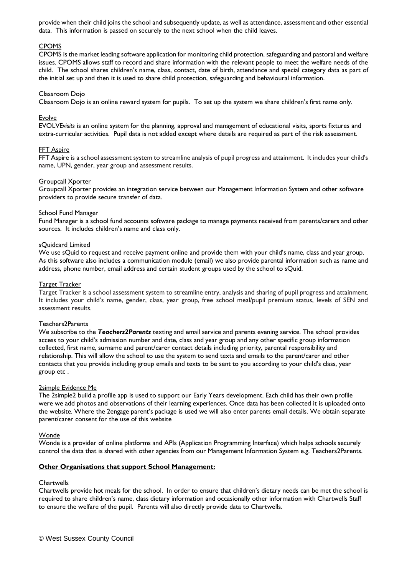provide when their child joins the school and subsequently update, as well as attendance, assessment and other essential data. This information is passed on securely to the next school when the child leaves.

### CPOMS

CPOMS is the market leading software application for monitoring child protection, safeguarding and pastoral and welfare issues. CPOMS allows staff to record and share information with the relevant people to meet the welfare needs of the child. The school shares children's name, class, contact, date of birth, attendance and special category data as part of the initial set up and then it is used to share child protection, safeguarding and behavioural information.

#### Classroom Dojo

Classroom Dojo is an online reward system for pupils. To set up the system we share children's first name only.

#### Evolve

EVOLVE*visits* is an online system for the planning, approval and management of educational visits, sports fixtures and extra-curricular activities. Pupil data is not added except where details are required as part of the risk assessment.

#### FFT Aspire

FFT Aspire is a school assessment system to streamline analysis of pupil progress and attainment. It includes your child's name, UPN, gender, year group and assessment results.

#### Groupcall Xporter

Groupcall Xporter provides an integration service between our Management Information System and other software providers to provide secure transfer of data.

#### School Fund Manager

Fund Manager is a school fund accounts software package to manage payments received from parents/carers and other sources. It includes children's name and class only.

#### sQuidcard Limited

We use sQuid to request and receive payment online and provide them with your child's name, class and year group. As this software also includes a communication module (email) we also provide parental information such as name and address, phone number, email address and certain student groups used by the school to sQuid.

#### Target Tracker

Target Tracker is a school assessment system to streamline entry, analysis and sharing of pupil progress and attainment. It includes your child's name, gender, class, year group, free school meal/pupil premium status, levels of SEN and assessment results.

#### Teachers2Parents

We subscribe to the *Teachers2Parents* texting and email service and parents evening service. The school provides access to your child's admission number and date, class and year group and any other specific group information collected, first name, surname and parent/carer contact details including priority, parental responsibility and relationship. This will allow the school to use the system to send texts and emails to the parent/carer and other contacts that you provide including group emails and texts to be sent to you according to your child's class, year group etc .

#### 2simple Evidence Me

The 2simple2 build a profile app is used to support our Early Years development. Each child has their own profile were we add photos and observations of their learning experiences. Once data has been collected it is uploaded onto the website. Where the 2engage parent's package is used we will also enter parents email details. We obtain separate parent/carer consent for the use of this website

#### Wonde

Wonde is a provider of online platforms and APIs (Application Programming Interface) which helps schools securely control the data that is shared with other agencies from our Management Information System e.g. Teachers2Parents.

## **Other Organisations that support School Management:**

#### **Chartwells**

Chartwells provide hot meals for the school. In order to ensure that children's dietary needs can be met the school is required to share children's name, class dietary information and occasionally other information with Chartwells Staff to ensure the welfare of the pupil. Parents will also directly provide data to Chartwells.